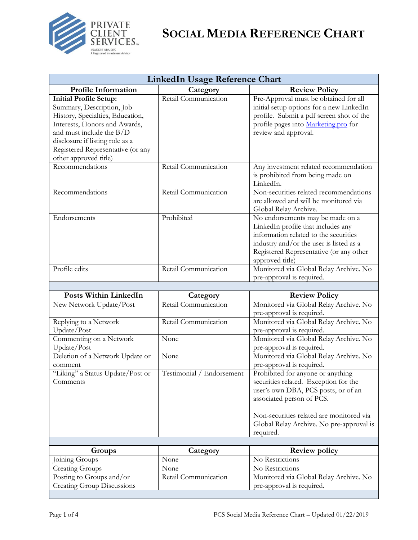

| <b>LinkedIn Usage Reference Chart</b>                                                                                                                                                                                                                          |                                  |                                                                                                                                                                                                                                                     |
|----------------------------------------------------------------------------------------------------------------------------------------------------------------------------------------------------------------------------------------------------------------|----------------------------------|-----------------------------------------------------------------------------------------------------------------------------------------------------------------------------------------------------------------------------------------------------|
| <b>Profile Information</b>                                                                                                                                                                                                                                     | Category                         | <b>Review Policy</b>                                                                                                                                                                                                                                |
| <b>Initial Profile Setup:</b><br>Summary, Description, Job<br>History, Specialties, Education,<br>Interests, Honors and Awards,<br>and must include the $B/D$<br>disclosure if listing role as a<br>Registered Representative (or any<br>other approved title) | Retail Communication             | Pre-Approval must be obtained for all<br>initial setup options for a new LinkedIn<br>profile. Submit a pdf screen shot of the<br>profile pages into Marketing.pro for<br>review and approval.                                                       |
| Recommendations                                                                                                                                                                                                                                                | Retail Communication             | Any investment related recommendation<br>is prohibited from being made on<br>LinkedIn.                                                                                                                                                              |
| Recommendations                                                                                                                                                                                                                                                | Retail Communication             | Non-securities related recommendations<br>are allowed and will be monitored via<br>Global Relay Archive.                                                                                                                                            |
| Endorsements                                                                                                                                                                                                                                                   | Prohibited                       | No endorsements may be made on a<br>LinkedIn profile that includes any<br>information related to the securities<br>industry and/or the user is listed as a<br>Registered Representative (or any other<br>approved title)                            |
| Profile edits                                                                                                                                                                                                                                                  | Retail Communication             | Monitored via Global Relay Archive. No<br>pre-approval is required.                                                                                                                                                                                 |
| <b>Posts Within LinkedIn</b>                                                                                                                                                                                                                                   |                                  |                                                                                                                                                                                                                                                     |
| New Network Update/Post                                                                                                                                                                                                                                        | Category<br>Retail Communication | <b>Review Policy</b><br>Monitored via Global Relay Archive. No                                                                                                                                                                                      |
|                                                                                                                                                                                                                                                                |                                  | pre-approval is required.                                                                                                                                                                                                                           |
| Replying to a Network<br>Update/Post                                                                                                                                                                                                                           | Retail Communication             | Monitored via Global Relay Archive. No<br>pre-approval is required.                                                                                                                                                                                 |
| Commenting on a Network<br>Update/Post                                                                                                                                                                                                                         | None                             | Monitored via Global Relay Archive. No<br>pre-approval is required.                                                                                                                                                                                 |
| Deletion of a Network Update or<br>comment                                                                                                                                                                                                                     | None                             | Monitored via Global Relay Archive. No<br>pre-approval is required.                                                                                                                                                                                 |
| "Liking" a Status Update/Post or<br>Comments                                                                                                                                                                                                                   | Testimonial / Endorsement        | Prohibited for anyone or anything<br>securities related. Exception for the<br>user's own DBA, PCS posts, or of an<br>associated person of PCS.<br>Non-securities related are monitored via<br>Global Relay Archive. No pre-approval is<br>required. |
|                                                                                                                                                                                                                                                                |                                  |                                                                                                                                                                                                                                                     |
| Groups                                                                                                                                                                                                                                                         | Category                         | <b>Review policy</b>                                                                                                                                                                                                                                |
| Joining Groups                                                                                                                                                                                                                                                 | None                             | No Restrictions                                                                                                                                                                                                                                     |
| <b>Creating Groups</b>                                                                                                                                                                                                                                         | None                             | No Restrictions                                                                                                                                                                                                                                     |
| Posting to Groups and/or<br><b>Creating Group Discussions</b>                                                                                                                                                                                                  | Retail Communication             | Monitored via Global Relay Archive. No<br>pre-approval is required.                                                                                                                                                                                 |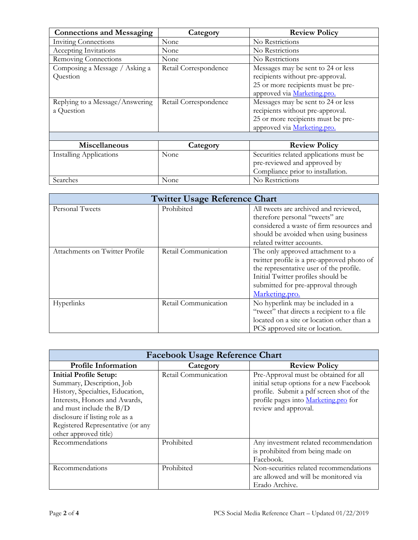| <b>Connections and Messaging</b> | Category              | <b>Review Policy</b>                    |
|----------------------------------|-----------------------|-----------------------------------------|
| <b>Inviting Connections</b>      | None                  | No Restrictions                         |
| Accepting Invitations            | None                  | No Restrictions                         |
| Removing Connections             | None                  | No Restrictions                         |
| Composing a Message / Asking a   | Retail Correspondence | Messages may be sent to 24 or less      |
| Question                         |                       | recipients without pre-approval.        |
|                                  |                       | 25 or more recipients must be pre-      |
|                                  |                       | approved via Marketing.pro.             |
| Replying to a Message/Answering  | Retail Correspondence | Messages may be sent to 24 or less      |
| a Question                       |                       | recipients without pre-approval.        |
|                                  |                       | 25 or more recipients must be pre-      |
|                                  |                       | approved via Marketing.pro.             |
|                                  |                       |                                         |
| Miscellaneous                    | Category              | <b>Review Policy</b>                    |
| <b>Installing Applications</b>   | None                  | Securities related applications must be |
|                                  |                       | pre-reviewed and approved by            |
|                                  |                       | Compliance prior to installation.       |
| Searches                         | None                  | No Restrictions                         |

| <b>Twitter Usage Reference Chart</b> |                      |                                            |
|--------------------------------------|----------------------|--------------------------------------------|
| Personal Tweets                      | Prohibited           | All tweets are archived and reviewed,      |
|                                      |                      | therefore personal "tweets" are            |
|                                      |                      | considered a waste of firm resources and   |
|                                      |                      | should be avoided when using business      |
|                                      |                      | related twitter accounts.                  |
| Attachments on Twitter Profile       | Retail Communication | The only approved attachment to a          |
|                                      |                      | twitter profile is a pre-approved photo of |
|                                      |                      | the representative user of the profile.    |
|                                      |                      | Initial Twitter profiles should be         |
|                                      |                      | submitted for pre-approval through         |
|                                      |                      | Marketing.pro.                             |
| Hyperlinks                           | Retail Communication | No hyperlink may be included in a          |
|                                      |                      | "tweet" that directs a recipient to a file |
|                                      |                      | located on a site or location other than a |
|                                      |                      | PCS approved site or location.             |

| <b>Facebook Usage Reference Chart</b>                                                                                                                                                                                                                          |                      |                                                                                                                                                                                               |
|----------------------------------------------------------------------------------------------------------------------------------------------------------------------------------------------------------------------------------------------------------------|----------------------|-----------------------------------------------------------------------------------------------------------------------------------------------------------------------------------------------|
| <b>Profile Information</b>                                                                                                                                                                                                                                     | Category             | <b>Review Policy</b>                                                                                                                                                                          |
| <b>Initial Profile Setup:</b><br>Summary, Description, Job<br>History, Specialties, Education,<br>Interests, Honors and Awards,<br>and must include the $B/D$<br>disclosure if listing role as a<br>Registered Representative (or any<br>other approved title) | Retail Communication | Pre-Approval must be obtained for all<br>initial setup options for a new Facebook<br>profile. Submit a pdf screen shot of the<br>profile pages into Marketing.pro for<br>review and approval. |
| Recommendations                                                                                                                                                                                                                                                | Prohibited           | Any investment related recommendation<br>is prohibited from being made on<br>Facebook.                                                                                                        |
| Recommendations                                                                                                                                                                                                                                                | Prohibited           | Non-securities related recommendations<br>are allowed and will be monitored via<br>Erado Archive.                                                                                             |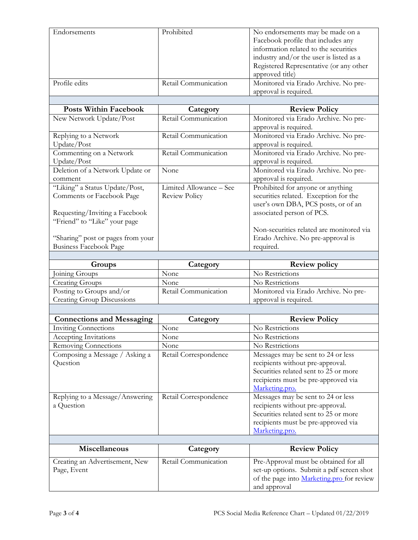| Endorsements                                  | Prohibited              | No endorsements may be made on a<br>Facebook profile that includes any<br>information related to the securities<br>industry and/or the user is listed as a<br>Registered Representative (or any other |
|-----------------------------------------------|-------------------------|-------------------------------------------------------------------------------------------------------------------------------------------------------------------------------------------------------|
| Profile edits                                 | Retail Communication    | approved title)<br>Monitored via Erado Archive. No pre-<br>approval is required.                                                                                                                      |
|                                               |                         |                                                                                                                                                                                                       |
| Posts Within Facebook                         | Category                | <b>Review Policy</b>                                                                                                                                                                                  |
| New Network Update/Post                       | Retail Communication    | Monitored via Erado Archive. No pre-                                                                                                                                                                  |
|                                               |                         | approval is required.                                                                                                                                                                                 |
| Replying to a Network                         | Retail Communication    | Monitored via Erado Archive. No pre-                                                                                                                                                                  |
| Update/Post                                   |                         | approval is required.                                                                                                                                                                                 |
| Commenting on a Network                       | Retail Communication    | Monitored via Erado Archive. No pre-                                                                                                                                                                  |
| Update/Post                                   |                         | approval is required.                                                                                                                                                                                 |
| Deletion of a Network Update or               | None                    | Monitored via Erado Archive. No pre-                                                                                                                                                                  |
| comment                                       |                         | approval is required.                                                                                                                                                                                 |
| "Liking" a Status Update/Post,                | Limited Allowance - See | Prohibited for anyone or anything                                                                                                                                                                     |
| Comments or Facebook Page                     | <b>Review Policy</b>    | securities related. Exception for the                                                                                                                                                                 |
|                                               |                         | user's own DBA, PCS posts, or of an                                                                                                                                                                   |
| Requesting/Inviting a Facebook                |                         | associated person of PCS.                                                                                                                                                                             |
| "Friend" to "Like" your page                  |                         |                                                                                                                                                                                                       |
|                                               |                         | Non-securities related are monitored via                                                                                                                                                              |
| "Sharing" post or pages from your             |                         | Erado Archive. No pre-approval is                                                                                                                                                                     |
| <b>Business Facebook Page</b>                 |                         | required.                                                                                                                                                                                             |
|                                               |                         |                                                                                                                                                                                                       |
|                                               |                         |                                                                                                                                                                                                       |
| Groups                                        | Category                | <b>Review policy</b>                                                                                                                                                                                  |
| Joining Groups                                | None                    | No Restrictions                                                                                                                                                                                       |
| <b>Creating Groups</b>                        | None                    | No Restrictions                                                                                                                                                                                       |
| Posting to Groups and/or                      | Retail Communication    | Monitored via Erado Archive. No pre-                                                                                                                                                                  |
| <b>Creating Group Discussions</b>             |                         | approval is required.                                                                                                                                                                                 |
|                                               |                         |                                                                                                                                                                                                       |
| <b>Connections and Messaging</b>              | Category                | <b>Review Policy</b>                                                                                                                                                                                  |
| <b>Inviting Connections</b>                   | None                    | No Restrictions                                                                                                                                                                                       |
| <b>Accepting Invitations</b>                  | None                    | No Restrictions                                                                                                                                                                                       |
| Removing Connections                          | None                    | No Restrictions                                                                                                                                                                                       |
| Composing a Message / Asking a                | Retail Correspondence   | Messages may be sent to 24 or less                                                                                                                                                                    |
| Question                                      |                         | recipients without pre-approval.                                                                                                                                                                      |
|                                               |                         | Securities related sent to 25 or more                                                                                                                                                                 |
|                                               |                         | recipients must be pre-approved via                                                                                                                                                                   |
|                                               |                         | Marketing.pro.                                                                                                                                                                                        |
| Replying to a Message/Answering               | Retail Correspondence   | Messages may be sent to 24 or less                                                                                                                                                                    |
| a Question                                    |                         | recipients without pre-approval.                                                                                                                                                                      |
|                                               |                         | Securities related sent to 25 or more                                                                                                                                                                 |
|                                               |                         | recipients must be pre-approved via                                                                                                                                                                   |
|                                               |                         | Marketing.pro.                                                                                                                                                                                        |
|                                               |                         |                                                                                                                                                                                                       |
| Miscellaneous                                 | Category                | <b>Review Policy</b>                                                                                                                                                                                  |
|                                               | Retail Communication    | Pre-Approval must be obtained for all                                                                                                                                                                 |
| Creating an Advertisement, New<br>Page, Event |                         | set-up options. Submit a pdf screen shot                                                                                                                                                              |
|                                               |                         | of the page into Marketing.pro for review                                                                                                                                                             |